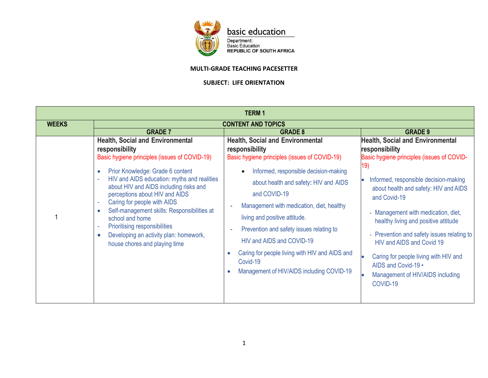

basic education

Department:<br>Basic Education<br>REPUBLIC OF SOUTH AFRICA

## **MULTI-GRADE TEACHING PACESETTER**

## **SUBJECT: LIFE ORIENTATION**

| <b>TERM1</b> |                                                                                                                                                                                                                                                                                                                                                                                                                                                                                                                                                                          |                                                                                                                                                                                                                                                                                                                                                                                                                                                                                                  |                                                                                                                                                                                                                                                                                                                                                                                                                                                                                                              |  |  |
|--------------|--------------------------------------------------------------------------------------------------------------------------------------------------------------------------------------------------------------------------------------------------------------------------------------------------------------------------------------------------------------------------------------------------------------------------------------------------------------------------------------------------------------------------------------------------------------------------|--------------------------------------------------------------------------------------------------------------------------------------------------------------------------------------------------------------------------------------------------------------------------------------------------------------------------------------------------------------------------------------------------------------------------------------------------------------------------------------------------|--------------------------------------------------------------------------------------------------------------------------------------------------------------------------------------------------------------------------------------------------------------------------------------------------------------------------------------------------------------------------------------------------------------------------------------------------------------------------------------------------------------|--|--|
| <b>WEEKS</b> | <b>CONTENT AND TOPICS</b>                                                                                                                                                                                                                                                                                                                                                                                                                                                                                                                                                |                                                                                                                                                                                                                                                                                                                                                                                                                                                                                                  |                                                                                                                                                                                                                                                                                                                                                                                                                                                                                                              |  |  |
|              | <b>GRADE 7</b><br><b>Health, Social and Environmental</b><br>responsibility<br>Basic hygiene principles (issues of COVID-19)<br>Prior Knowledge: Grade 6 content<br>$\bullet$<br>HIV and AIDS education: myths and realities<br>$\sim$<br>about HIV and AIDS including risks and<br>perceptions about HIV and AIDS<br>Caring for people with AIDS<br>$\sim$<br>Self-management skills: Responsibilities at<br>$\bullet$<br>school and home<br>Prioritising responsibilities<br>٠<br>Developing an activity plan: homework,<br>$\bullet$<br>house chores and playing time | <b>GRADE 8</b><br><b>Health, Social and Environmental</b><br>responsibility<br>Basic hygiene principles (issues of COVID-19)<br>Informed, responsible decision-making<br>about health and safety: HIV and AIDS<br>and COVID-19<br>Management with medication, diet, healthy<br>living and positive attitude.<br>Prevention and safety issues relating to<br>HIV and AIDS and COVID-19<br>Caring for people living with HIV and AIDS and<br>Covid-19<br>Management of HIV/AIDS including COVID-19 | <b>GRADE 9</b><br><b>Health, Social and Environmental</b><br>responsibility<br>Basic hygiene principles (issues of COVID-<br>19)<br>Informed, responsible decision-making<br>about health and safety: HIV and AIDS<br>and Covid-19<br>- Management with medication, diet,<br>healthy living and positive attitude<br>- Prevention and safety issues relating to<br>HIV and AIDS and Covid 19<br>Caring for people living with HIV and<br>AIDS and Covid-19 .<br>Management of HIV/AIDS including<br>COVID-19 |  |  |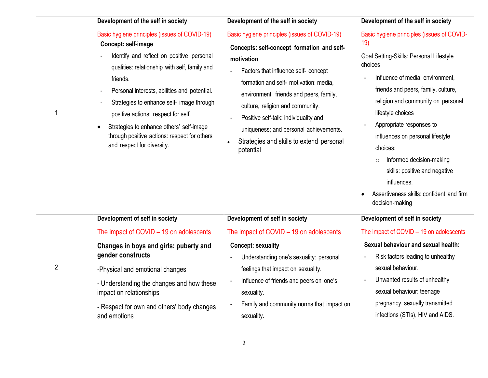|                | Development of the self in society                                                                                                                                                                                                                                                                                                                                                                                                           | Development of the self in society                                                                                                                                                                                                                                                                                                                                                                                     | Development of the self in society                                                                                                                                                                                                                                                                                                                                                                                                                                              |
|----------------|----------------------------------------------------------------------------------------------------------------------------------------------------------------------------------------------------------------------------------------------------------------------------------------------------------------------------------------------------------------------------------------------------------------------------------------------|------------------------------------------------------------------------------------------------------------------------------------------------------------------------------------------------------------------------------------------------------------------------------------------------------------------------------------------------------------------------------------------------------------------------|---------------------------------------------------------------------------------------------------------------------------------------------------------------------------------------------------------------------------------------------------------------------------------------------------------------------------------------------------------------------------------------------------------------------------------------------------------------------------------|
|                | Basic hygiene principles (issues of COVID-19)<br>Concept: self-image<br>Identify and reflect on positive personal<br>qualities: relationship with self, family and<br>friends.<br>Personal interests, abilities and potential.<br>Strategies to enhance self- image through<br>positive actions: respect for self.<br>Strategies to enhance others' self-image<br>through positive actions: respect for others<br>and respect for diversity. | Basic hygiene principles (issues of COVID-19)<br>Concepts: self-concept formation and self-<br>motivation<br>Factors that influence self- concept<br>formation and self- motivation: media,<br>environment, friends and peers, family,<br>culture, religion and community.<br>Positive self-talk: individuality and<br>uniqueness; and personal achievements.<br>Strategies and skills to extend personal<br>potential | Basic hygiene principles (issues of COVID-<br>19)<br>Goal Setting-Skills: Personal Lifestyle<br>choices<br>Influence of media, environment,<br>friends and peers, family, culture,<br>religion and community on personal<br>lifestyle choices<br>Appropriate responses to<br>influences on personal lifestyle<br>choices:<br>Informed decision-making<br>$\circ$<br>skills: positive and negative<br>influences.<br>Assertiveness skills: confident and firm<br>decision-making |
|                | Development of self in society                                                                                                                                                                                                                                                                                                                                                                                                               | Development of self in society                                                                                                                                                                                                                                                                                                                                                                                         | Development of self in society                                                                                                                                                                                                                                                                                                                                                                                                                                                  |
|                | The impact of COVID $-$ 19 on adolescents                                                                                                                                                                                                                                                                                                                                                                                                    | The impact of COVID $-$ 19 on adolescents                                                                                                                                                                                                                                                                                                                                                                              | The impact of COVID - 19 on adolescents                                                                                                                                                                                                                                                                                                                                                                                                                                         |
| $\overline{2}$ | Changes in boys and girls: puberty and<br>gender constructs<br>-Physical and emotional changes<br>- Understanding the changes and how these<br>impact on relationships<br>- Respect for own and others' body changes<br>and emotions                                                                                                                                                                                                         | <b>Concept: sexuality</b><br>Understanding one's sexuality: personal<br>feelings that impact on sexuality.<br>Influence of friends and peers on one's<br>sexuality.<br>Family and community norms that impact on<br>sexuality.                                                                                                                                                                                         | Sexual behaviour and sexual health:<br>Risk factors leading to unhealthy<br>sexual behaviour.<br>Unwanted results of unhealthy<br>sexual behaviour: teenage<br>pregnancy, sexually transmitted<br>infections (STIs), HIV and AIDS.                                                                                                                                                                                                                                              |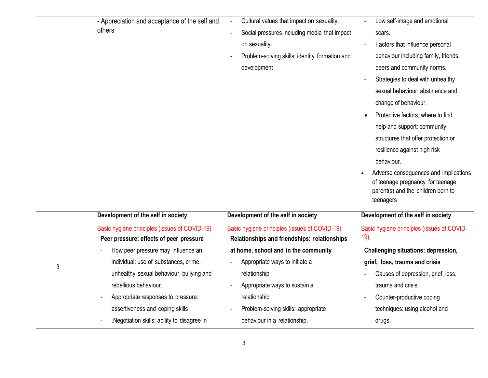|   | - Appreciation and acceptance of the self and                                            | Cultural values that impact on sexuality.<br>$\overline{\phantom{a}}$                         | Low self-image and emotional                                                                                                 |
|---|------------------------------------------------------------------------------------------|-----------------------------------------------------------------------------------------------|------------------------------------------------------------------------------------------------------------------------------|
|   | others                                                                                   | Social pressures including media that impact<br>÷,                                            | scars.                                                                                                                       |
|   |                                                                                          | on sexuality.                                                                                 | Factors that influence personal<br>$\overline{\phantom{a}}$                                                                  |
|   |                                                                                          | Problem-solving skills: identity formation and                                                | behaviour including family, friends,                                                                                         |
|   |                                                                                          | development                                                                                   | peers and community norms.                                                                                                   |
|   |                                                                                          |                                                                                               | Strategies to deal with unhealthy                                                                                            |
|   |                                                                                          |                                                                                               | sexual behaviour: abstinence and                                                                                             |
|   |                                                                                          |                                                                                               | change of behaviour.                                                                                                         |
|   |                                                                                          |                                                                                               | Protective factors, where to find<br>$\bullet$                                                                               |
|   |                                                                                          |                                                                                               | help and support: community                                                                                                  |
|   |                                                                                          |                                                                                               | structures that offer protection or                                                                                          |
|   |                                                                                          |                                                                                               | resilience against high risk                                                                                                 |
|   |                                                                                          |                                                                                               | behaviour.                                                                                                                   |
|   |                                                                                          |                                                                                               | Adverse consequences and implications<br>of teenage pregnancy for teenage<br>parent(s) and the children born to<br>teenagers |
|   | Development of the self in society                                                       | Development of the self in society                                                            | Development of the self in society                                                                                           |
|   | Basic hygiene principles (issues of COVID-19)<br>Peer pressure: effects of peer pressure | Basic hygiene principles (issues of COVID-19)<br>Relationships and friendships: relationships | Basic hygiene principles (issues of COVID-<br>19)                                                                            |
|   | How peer pressure may influence an                                                       | at home, school and in the community                                                          | <b>Challenging situations: depression,</b>                                                                                   |
| 3 | individual: use of substances, crime,                                                    | Appropriate ways to initiate a                                                                | grief, loss, trauma and crisis                                                                                               |
|   | unhealthy sexual behaviour, bullying and                                                 | relationship                                                                                  | Causes of depression, grief, loss,                                                                                           |
|   | rebellious behaviour.                                                                    | Appropriate ways to sustain a                                                                 | trauma and crisis                                                                                                            |
|   | Appropriate responses to pressure:                                                       | relationship                                                                                  | Counter-productive coping<br>÷,                                                                                              |
|   | assertiveness and coping skills                                                          | Problem-solving skills: appropriate                                                           | techniques: using alcohol and                                                                                                |
|   | .Negotiation skills: ability to disagree in                                              | behaviour in a relationship.                                                                  | drugs.                                                                                                                       |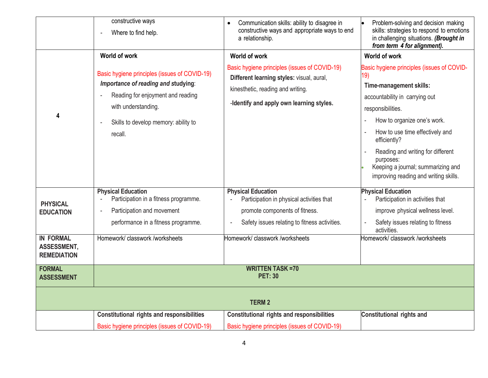|                                                         | constructive ways<br>Where to find help.                                                                                                                                                            | Communication skills: ability to disagree in<br>constructive ways and appropriate ways to end<br>a relationship.                                                                             | Problem-solving and decision making<br>skills: strategies to respond to emotions<br>in challenging situations. (Brought in<br>from term 4 for alignment).                                                                                                                                                                                              |
|---------------------------------------------------------|-----------------------------------------------------------------------------------------------------------------------------------------------------------------------------------------------------|----------------------------------------------------------------------------------------------------------------------------------------------------------------------------------------------|--------------------------------------------------------------------------------------------------------------------------------------------------------------------------------------------------------------------------------------------------------------------------------------------------------------------------------------------------------|
|                                                         | World of work                                                                                                                                                                                       | World of work                                                                                                                                                                                | World of work                                                                                                                                                                                                                                                                                                                                          |
|                                                         | Basic hygiene principles (issues of COVID-19)<br>Importance of reading and studying:<br>Reading for enjoyment and reading<br>with understanding.<br>Skills to develop memory: ability to<br>recall. | Basic hygiene principles (issues of COVID-19)<br>Different learning styles: visual, aural,<br>kinesthetic, reading and writing.<br>-Identify and apply own learning styles.                  | Basic hygiene principles (issues of COVID-<br>19)<br>Time-management skills:<br>accountability in carrying out<br>responsibilities.<br>How to organize one's work.<br>How to use time effectively and<br>efficiently?<br>Reading and writing for different<br>purposes:<br>Keeping a journal; summarizing and<br>improving reading and writing skills. |
| <b>PHYSICAL</b><br><b>EDUCATION</b><br><b>IN FORMAL</b> | <b>Physical Education</b><br>Participation in a fitness programme.<br>Participation and movement<br>performance in a fitness programme.<br>Homework/classwork/worksheets                            | <b>Physical Education</b><br>Participation in physical activities that<br>promote components of fitness.<br>Safety issues relating to fitness activities.<br>Homework/ classwork /worksheets | <b>Physical Education</b><br>Participation in activities that<br>improve physical wellness level.<br>Safety issues relating to fitness<br>activities.<br>Homework/ classwork /worksheets                                                                                                                                                               |
| ASSESSMENT,<br><b>REMEDIATION</b>                       |                                                                                                                                                                                                     |                                                                                                                                                                                              |                                                                                                                                                                                                                                                                                                                                                        |
| <b>FORMAL</b><br><b>ASSESSMENT</b>                      |                                                                                                                                                                                                     | <b>WRITTEN TASK =70</b><br><b>PET: 30</b>                                                                                                                                                    |                                                                                                                                                                                                                                                                                                                                                        |
|                                                         |                                                                                                                                                                                                     | <b>TERM2</b>                                                                                                                                                                                 |                                                                                                                                                                                                                                                                                                                                                        |
|                                                         | <b>Constitutional rights and responsibilities</b>                                                                                                                                                   | <b>Constitutional rights and responsibilities</b>                                                                                                                                            | <b>Constitutional rights and</b>                                                                                                                                                                                                                                                                                                                       |
|                                                         | Basic hygiene principles (issues of COVID-19)                                                                                                                                                       | Basic hygiene principles (issues of COVID-19)                                                                                                                                                |                                                                                                                                                                                                                                                                                                                                                        |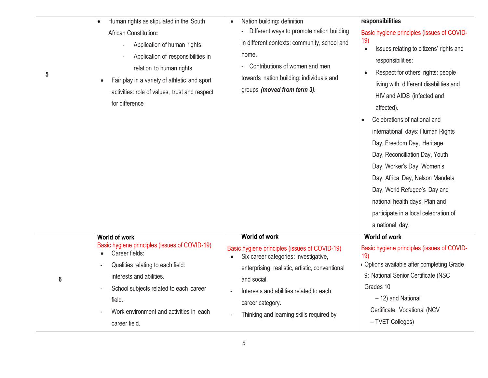| 5 | Human rights as stipulated in the South<br>$\bullet$<br>African Constitution:<br>Application of human rights<br>Application of responsibilities in<br>relation to human rights<br>Fair play in a variety of athletic and sport<br>activities: role of values, trust and respect<br>for difference | Nation building: definition<br>$\bullet$<br>Different ways to promote nation building<br>in different contexts: community, school and<br>home.<br>- Contributions of women and men<br>towards nation building: individuals and<br>groups (moved from term 3).                               | responsibilities<br>Basic hygiene principles (issues of COVID-<br>19)<br>Issues relating to citizens' rights and<br>$\bullet$<br>responsibilities:<br>Respect for others' rights: people<br>living with different disabilities and<br>HIV and AIDS (infected and<br>affected).<br>Celebrations of national and<br>international days: Human Rights<br>Day, Freedom Day, Heritage<br>Day, Reconciliation Day, Youth<br>Day, Worker's Day, Women's<br>Day, Africa Day, Nelson Mandela<br>Day, World Refugee's Day and<br>national health days. Plan and<br>participate in a local celebration of<br>a national day. |
|---|---------------------------------------------------------------------------------------------------------------------------------------------------------------------------------------------------------------------------------------------------------------------------------------------------|---------------------------------------------------------------------------------------------------------------------------------------------------------------------------------------------------------------------------------------------------------------------------------------------|-------------------------------------------------------------------------------------------------------------------------------------------------------------------------------------------------------------------------------------------------------------------------------------------------------------------------------------------------------------------------------------------------------------------------------------------------------------------------------------------------------------------------------------------------------------------------------------------------------------------|
| 6 | <b>World of work</b><br>Basic hygiene principles (issues of COVID-19)<br>Career fields:<br>$\bullet$<br>Qualities relating to each field:<br>interests and abilities.<br>School subjects related to each career<br>field.<br>Work environment and activities in each<br>career field.             | <b>World of work</b><br>Basic hygiene principles (issues of COVID-19)<br>Six career categories: investigative,<br>enterprising, realistic, artistic, conventional<br>and social.<br>Interests and abilities related to each<br>career category.<br>Thinking and learning skills required by | <b>World of work</b><br>Basic hygiene principles (issues of COVID-<br>19)<br>Options available after completing Grade<br>9: National Senior Certificate (NSC<br>Grades 10<br>- 12) and National<br>Certificate. Vocational (NCV<br>- TVET Colleges)                                                                                                                                                                                                                                                                                                                                                               |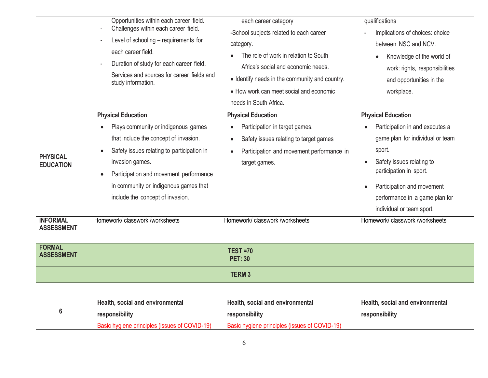| <b>PHYSICAL</b><br><b>EDUCATION</b>  | Opportunities within each career field.<br>Challenges within each career field.<br>$\sim$<br>Level of schooling - requirements for<br>each career field.<br>Duration of study for each career field.<br>Services and sources for career fields and<br>study information.<br><b>Physical Education</b><br>Plays community or indigenous games<br>that include the concept of invasion.<br>Safety issues relating to participation in<br>$\bullet$<br>invasion games.<br>Participation and movement performance<br>$\bullet$<br>in community or indigenous games that | each career category<br>-School subjects related to each career<br>category.<br>The role of work in relation to South<br>Africa's social and economic needs.<br>• Identify needs in the community and country.<br>• How work can meet social and economic<br>needs in South Africa.<br><b>Physical Education</b><br>Participation in target games.<br>$\bullet$<br>Safety issues relating to target games<br>$\bullet$<br>Participation and movement performance in<br>$\bullet$<br>target games. | qualifications<br>Implications of choices: choice<br>between NSC and NCV.<br>Knowledge of the world of<br>work: rights, responsibilities<br>and opportunities in the<br>workplace.<br><b>Physical Education</b><br>Participation in and executes a<br>game plan for individual or team<br>sport.<br>Safety issues relating to<br>$\bullet$<br>participation in sport.<br>Participation and movement |
|--------------------------------------|---------------------------------------------------------------------------------------------------------------------------------------------------------------------------------------------------------------------------------------------------------------------------------------------------------------------------------------------------------------------------------------------------------------------------------------------------------------------------------------------------------------------------------------------------------------------|---------------------------------------------------------------------------------------------------------------------------------------------------------------------------------------------------------------------------------------------------------------------------------------------------------------------------------------------------------------------------------------------------------------------------------------------------------------------------------------------------|-----------------------------------------------------------------------------------------------------------------------------------------------------------------------------------------------------------------------------------------------------------------------------------------------------------------------------------------------------------------------------------------------------|
|                                      | include the concept of invasion.                                                                                                                                                                                                                                                                                                                                                                                                                                                                                                                                    |                                                                                                                                                                                                                                                                                                                                                                                                                                                                                                   | performance in a game plan for<br>individual or team sport.                                                                                                                                                                                                                                                                                                                                         |
| <b>INFORMAL</b><br><b>ASSESSMENT</b> | Homework/ classwork /worksheets                                                                                                                                                                                                                                                                                                                                                                                                                                                                                                                                     | Homework/ classwork /worksheets                                                                                                                                                                                                                                                                                                                                                                                                                                                                   | Homework/ classwork /worksheets                                                                                                                                                                                                                                                                                                                                                                     |
| <b>FORMAL</b><br><b>ASSESSMENT</b>   |                                                                                                                                                                                                                                                                                                                                                                                                                                                                                                                                                                     | <b>TEST =70</b><br><b>PET: 30</b>                                                                                                                                                                                                                                                                                                                                                                                                                                                                 |                                                                                                                                                                                                                                                                                                                                                                                                     |
|                                      |                                                                                                                                                                                                                                                                                                                                                                                                                                                                                                                                                                     | <b>TERM3</b>                                                                                                                                                                                                                                                                                                                                                                                                                                                                                      |                                                                                                                                                                                                                                                                                                                                                                                                     |
| 6                                    | Health, social and environmental<br>responsibility                                                                                                                                                                                                                                                                                                                                                                                                                                                                                                                  | Health, social and environmental<br>responsibility                                                                                                                                                                                                                                                                                                                                                                                                                                                | Health, social and environmental<br>responsibility                                                                                                                                                                                                                                                                                                                                                  |
|                                      | Basic hygiene principles (issues of COVID-19)                                                                                                                                                                                                                                                                                                                                                                                                                                                                                                                       | Basic hygiene principles (issues of COVID-19)                                                                                                                                                                                                                                                                                                                                                                                                                                                     |                                                                                                                                                                                                                                                                                                                                                                                                     |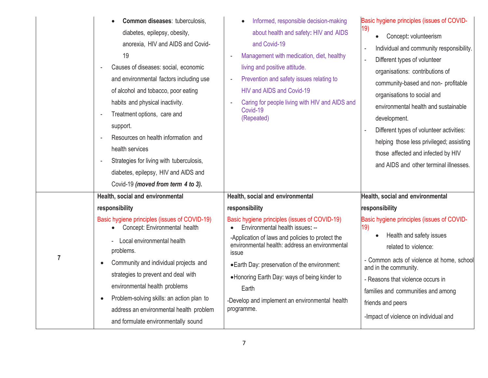|                | Common diseases: tuberculosis,<br>diabetes, epilepsy, obesity,<br>anorexia, HIV and AIDS and Covid-<br>19<br>Causes of diseases: social, economic<br>and environmental factors including use<br>of alcohol and tobacco, poor eating<br>habits and physical inactivity.<br>Treatment options, care and<br>support.<br>Resources on health information and<br>$\sim$<br>health services<br>Strategies for living with tuberculosis,<br>$\sim$<br>diabetes, epilepsy, HIV and AIDS and<br>Covid-19 (moved from term 4 to 3). | Informed, responsible decision-making<br>about health and safety: HIV and AIDS<br>and Covid-19<br>Management with medication, diet, healthy<br>living and positive attitude.<br>Prevention and safety issues relating to<br>HIV and AIDS and Covid-19<br>Caring for people living with HIV and AIDS and<br>Covid-19<br>(Repeated) | Basic hygiene principles (issues of COVID-<br>19)<br>Concept: volunteerism<br>$\bullet$<br>Individual and community responsibility.<br>$\overline{\phantom{a}}$<br>Different types of volunteer<br>organisations: contributions of<br>community-based and non- profitable<br>organisations to social and<br>environmental health and sustainable<br>development.<br>Different types of volunteer activities:<br>helping those less privileged; assisting<br>those affected and infected by HIV<br>and AIDS and other terminal illnesses. |
|----------------|---------------------------------------------------------------------------------------------------------------------------------------------------------------------------------------------------------------------------------------------------------------------------------------------------------------------------------------------------------------------------------------------------------------------------------------------------------------------------------------------------------------------------|-----------------------------------------------------------------------------------------------------------------------------------------------------------------------------------------------------------------------------------------------------------------------------------------------------------------------------------|------------------------------------------------------------------------------------------------------------------------------------------------------------------------------------------------------------------------------------------------------------------------------------------------------------------------------------------------------------------------------------------------------------------------------------------------------------------------------------------------------------------------------------------|
|                | Health, social and environmental                                                                                                                                                                                                                                                                                                                                                                                                                                                                                          | Health, social and environmental                                                                                                                                                                                                                                                                                                  | Health, social and environmental                                                                                                                                                                                                                                                                                                                                                                                                                                                                                                         |
|                | responsibility                                                                                                                                                                                                                                                                                                                                                                                                                                                                                                            | responsibility                                                                                                                                                                                                                                                                                                                    | responsibility                                                                                                                                                                                                                                                                                                                                                                                                                                                                                                                           |
| $\overline{7}$ | Basic hygiene principles (issues of COVID-19)                                                                                                                                                                                                                                                                                                                                                                                                                                                                             | Basic hygiene principles (issues of COVID-19)                                                                                                                                                                                                                                                                                     | Basic hygiene principles (issues of COVID-                                                                                                                                                                                                                                                                                                                                                                                                                                                                                               |
|                | Concept: Environmental health                                                                                                                                                                                                                                                                                                                                                                                                                                                                                             | Environmental health issues: --                                                                                                                                                                                                                                                                                                   | 19)                                                                                                                                                                                                                                                                                                                                                                                                                                                                                                                                      |
|                | Local environmental health                                                                                                                                                                                                                                                                                                                                                                                                                                                                                                | -Application of laws and policies to protect the                                                                                                                                                                                                                                                                                  | Health and safety issues                                                                                                                                                                                                                                                                                                                                                                                                                                                                                                                 |
|                | problems.                                                                                                                                                                                                                                                                                                                                                                                                                                                                                                                 | environmental health: address an environmental                                                                                                                                                                                                                                                                                    | related to violence:                                                                                                                                                                                                                                                                                                                                                                                                                                                                                                                     |
|                | Community and individual projects and                                                                                                                                                                                                                                                                                                                                                                                                                                                                                     | issue                                                                                                                                                                                                                                                                                                                             | - Common acts of violence at home, school                                                                                                                                                                                                                                                                                                                                                                                                                                                                                                |
|                | $\bullet$                                                                                                                                                                                                                                                                                                                                                                                                                                                                                                                 | . Earth Day: preservation of the environment:                                                                                                                                                                                                                                                                                     | and in the community.                                                                                                                                                                                                                                                                                                                                                                                                                                                                                                                    |
|                | strategies to prevent and deal with                                                                                                                                                                                                                                                                                                                                                                                                                                                                                       | •Honoring Earth Day: ways of being kinder to                                                                                                                                                                                                                                                                                      | - Reasons that violence occurs in                                                                                                                                                                                                                                                                                                                                                                                                                                                                                                        |
|                | environmental health problems<br>Problem-solving skills: an action plan to<br>$\bullet$<br>address an environmental health problem<br>and formulate environmentally sound                                                                                                                                                                                                                                                                                                                                                 | Earth<br>-Develop and implement an environmental health<br>programme.                                                                                                                                                                                                                                                             | families and communities and among<br>friends and peers<br>-Impact of violence on individual and                                                                                                                                                                                                                                                                                                                                                                                                                                         |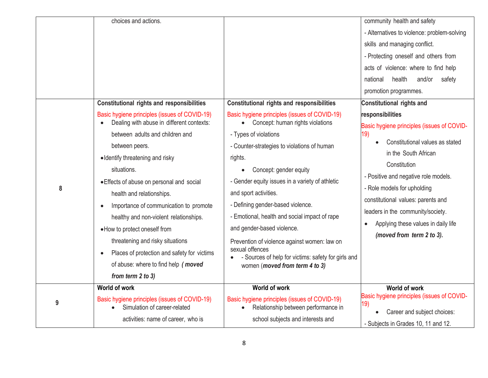|   | choices and actions.<br><b>Constitutional rights and responsibilities</b>                                                                                                                                                                                                                                                                                 | <b>Constitutional rights and responsibilities</b>                                                                                                                                                                                                                                                                                                                                  | community health and safety<br>- Alternatives to violence: problem-solving<br>skills and managing conflict.<br>- Protecting oneself and others from<br>acts of violence: where to find help<br>health<br>safety<br>national<br>and/or<br>promotion programmes.<br><b>Constitutional rights and</b> |
|---|-----------------------------------------------------------------------------------------------------------------------------------------------------------------------------------------------------------------------------------------------------------------------------------------------------------------------------------------------------------|------------------------------------------------------------------------------------------------------------------------------------------------------------------------------------------------------------------------------------------------------------------------------------------------------------------------------------------------------------------------------------|----------------------------------------------------------------------------------------------------------------------------------------------------------------------------------------------------------------------------------------------------------------------------------------------------|
|   | Basic hygiene principles (issues of COVID-19)                                                                                                                                                                                                                                                                                                             | Basic hygiene principles (issues of COVID-19)                                                                                                                                                                                                                                                                                                                                      | responsibilities                                                                                                                                                                                                                                                                                   |
|   | Dealing with abuse in different contexts:                                                                                                                                                                                                                                                                                                                 | Concept: human rights violations<br>$\bullet$                                                                                                                                                                                                                                                                                                                                      | Basic hygiene principles (issues of COVID-                                                                                                                                                                                                                                                         |
|   | between adults and children and                                                                                                                                                                                                                                                                                                                           | - Types of violations                                                                                                                                                                                                                                                                                                                                                              | 19)<br>Constitutional values as stated                                                                                                                                                                                                                                                             |
|   | between peers.                                                                                                                                                                                                                                                                                                                                            | - Counter-strategies to violations of human                                                                                                                                                                                                                                                                                                                                        | in the South African                                                                                                                                                                                                                                                                               |
|   | • Identify threatening and risky                                                                                                                                                                                                                                                                                                                          | rights.                                                                                                                                                                                                                                                                                                                                                                            | Constitution                                                                                                                                                                                                                                                                                       |
| 8 | situations.<br>• Effects of abuse on personal and social<br>health and relationships.<br>Importance of communication to promote<br>healthy and non-violent relationships.<br>• How to protect oneself from<br>threatening and risky situations<br>Places of protection and safety for victims<br>of abuse: where to find help (moved<br>from term 2 to 3) | Concept: gender equity<br>- Gender equity issues in a variety of athletic<br>and sport activities.<br>- Defining gender-based violence.<br>- Emotional, health and social impact of rape<br>and gender-based violence.<br>Prevention of violence against women: law on<br>sexual offences<br>- Sources of help for victims: safety for girls and<br>women (moved from term 4 to 3) | - Positive and negative role models.<br>- Role models for upholding<br>constitutional values: parents and<br>leaders in the community/society.<br>Applying these values in daily life<br>(moved from term 2 to 3).                                                                                 |
| 9 | <b>World of work</b><br>Basic hygiene principles (issues of COVID-19)<br>Simulation of career-related<br>activities: name of career, who is                                                                                                                                                                                                               | World of work<br>Basic hygiene principles (issues of COVID-19)<br>Relationship between performance in<br>school subjects and interests and                                                                                                                                                                                                                                         | <b>World of work</b><br>Basic hygiene principles (issues of COVID-<br>19)<br>Career and subject choices:<br>- Subjects in Grades 10, 11 and 12.                                                                                                                                                    |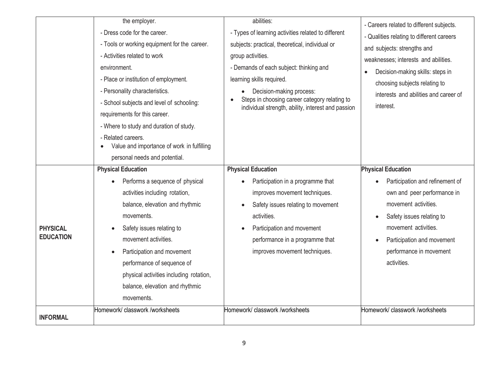|                                     | the employer.<br>- Dress code for the career.<br>- Tools or working equipment for the career.<br>- Activities related to work<br>environment.<br>- Place or institution of employment.<br>- Personality characteristics.<br>- School subjects and level of schooling:<br>requirements for this career.                          | abilities:<br>- Types of learning activities related to different<br>subjects: practical, theoretical, individual or<br>group activities.<br>- Demands of each subject: thinking and<br>learning skills required.<br>Decision-making process:<br>Steps in choosing career category relating to<br>individual strength, ability, interest and passion | - Careers related to different subjects.<br>- Qualities relating to different careers<br>and subjects: strengths and<br>weaknesses; interests and abilities.<br>Decision-making skills: steps in<br>choosing subjects relating to<br>interests and abilities and career of<br>interest. |
|-------------------------------------|---------------------------------------------------------------------------------------------------------------------------------------------------------------------------------------------------------------------------------------------------------------------------------------------------------------------------------|------------------------------------------------------------------------------------------------------------------------------------------------------------------------------------------------------------------------------------------------------------------------------------------------------------------------------------------------------|-----------------------------------------------------------------------------------------------------------------------------------------------------------------------------------------------------------------------------------------------------------------------------------------|
|                                     | - Where to study and duration of study.<br>- Related careers.<br>Value and importance of work in fulfilling<br>personal needs and potential.<br><b>Physical Education</b>                                                                                                                                                       | <b>Physical Education</b>                                                                                                                                                                                                                                                                                                                            | <b>Physical Education</b>                                                                                                                                                                                                                                                               |
| <b>PHYSICAL</b><br><b>EDUCATION</b> | Performs a sequence of physical<br>activities including rotation,<br>balance, elevation and rhythmic<br>movements.<br>Safety issues relating to<br>movement activities.<br>Participation and movement<br>performance of sequence of<br>physical activities including rotation,<br>balance, elevation and rhythmic<br>movements. | Participation in a programme that<br>improves movement techniques.<br>Safety issues relating to movement<br>activities.<br>Participation and movement<br>performance in a programme that<br>improves movement techniques.                                                                                                                            | Participation and refinement of<br>own and peer performance in<br>movement activities.<br>Safety issues relating to<br>movement activities.<br>Participation and movement<br>performance in movement<br>activities.                                                                     |
| <b>INFORMAL</b>                     | Homework/ classwork /worksheets                                                                                                                                                                                                                                                                                                 | Homework/ classwork /worksheets                                                                                                                                                                                                                                                                                                                      | Homework/ classwork /worksheets                                                                                                                                                                                                                                                         |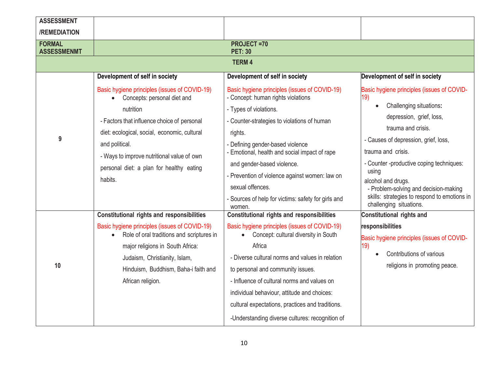| <b>ASSESSMENT</b>                   |                                                                                           |                                                                                     |                                                                         |  |
|-------------------------------------|-------------------------------------------------------------------------------------------|-------------------------------------------------------------------------------------|-------------------------------------------------------------------------|--|
| /REMEDIATION                        |                                                                                           |                                                                                     |                                                                         |  |
| <b>FORMAL</b><br><b>ASSESSMENMT</b> |                                                                                           | <b>PROJECT =70</b><br><b>PET: 30</b>                                                |                                                                         |  |
| <b>TERM4</b>                        |                                                                                           |                                                                                     |                                                                         |  |
|                                     |                                                                                           |                                                                                     |                                                                         |  |
|                                     | Development of self in society                                                            | Development of self in society                                                      | Development of self in society                                          |  |
|                                     | Basic hygiene principles (issues of COVID-19)<br>Concepts: personal diet and<br>$\bullet$ | Basic hygiene principles (issues of COVID-19)<br>- Concept: human rights violations | Basic hygiene principles (issues of COVID-<br>19)                       |  |
|                                     | nutrition                                                                                 | - Types of violations.                                                              | Challenging situations:                                                 |  |
|                                     | - Factors that influence choice of personal                                               | - Counter-strategies to violations of human                                         | depression, grief, loss,                                                |  |
|                                     | diet: ecological, social, economic, cultural                                              | rights.                                                                             | trauma and crisis.                                                      |  |
| 9                                   | and political.                                                                            | - Defining gender-based violence                                                    | - Causes of depression, grief, loss,                                    |  |
|                                     | - Ways to improve nutritional value of own                                                | - Emotional, health and social impact of rape                                       | trauma and crisis.                                                      |  |
|                                     | personal diet: a plan for healthy eating                                                  | and gender-based violence.                                                          | - Counter -productive coping techniques:                                |  |
|                                     | habits.                                                                                   | - Prevention of violence against women: law on                                      | using<br>alcohol and drugs.                                             |  |
|                                     |                                                                                           | sexual offences.                                                                    | - Problem-solving and decision-making                                   |  |
|                                     |                                                                                           | - Sources of help for victims: safety for girls and<br>women.                       | skills: strategies to respond to emotions in<br>challenging situations. |  |
|                                     | <b>Constitutional rights and responsibilities</b>                                         | <b>Constitutional rights and responsibilities</b>                                   | <b>Constitutional rights and</b>                                        |  |
|                                     | Basic hygiene principles (issues of COVID-19)                                             | Basic hygiene principles (issues of COVID-19)                                       | responsibilities                                                        |  |
|                                     | Role of oral traditions and scriptures in<br>$\bullet$                                    | Concept: cultural diversity in South                                                | Basic hygiene principles (issues of COVID-                              |  |
|                                     | major religions in South Africa:                                                          | Africa                                                                              | 19)<br>Contributions of various                                         |  |
| 10                                  | Judaism, Christianity, Islam,                                                             | - Diverse cultural norms and values in relation                                     | religions in promoting peace.                                           |  |
|                                     | Hinduism, Buddhism, Baha-i faith and                                                      | to personal and community issues.                                                   |                                                                         |  |
|                                     | African religion.                                                                         | - Influence of cultural norms and values on                                         |                                                                         |  |
|                                     |                                                                                           | individual behaviour, attitude and choices:                                         |                                                                         |  |
|                                     |                                                                                           | cultural expectations, practices and traditions.                                    |                                                                         |  |
|                                     |                                                                                           | -Understanding diverse cultures: recognition of                                     |                                                                         |  |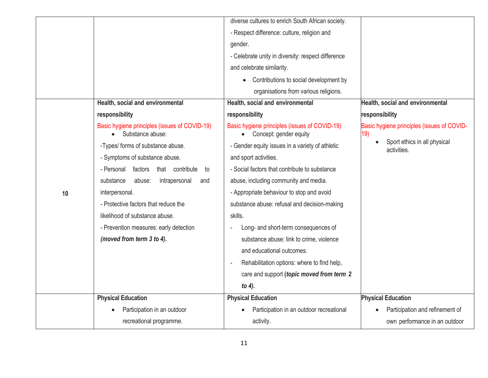|    |                                                                   | diverse cultures to enrich South African society.                       |                                                   |
|----|-------------------------------------------------------------------|-------------------------------------------------------------------------|---------------------------------------------------|
|    |                                                                   | - Respect difference: culture, religion and                             |                                                   |
|    |                                                                   | gender.                                                                 |                                                   |
|    |                                                                   | - Celebrate unity in diversity: respect difference                      |                                                   |
|    |                                                                   | and celebrate similarity.                                               |                                                   |
|    |                                                                   | Contributions to social development by                                  |                                                   |
|    |                                                                   | organisations from various religions.                                   |                                                   |
|    | Health, social and environmental                                  | Health, social and environmental                                        | Health, social and environmental                  |
|    | responsibility                                                    | responsibility                                                          | responsibility                                    |
|    | Basic hygiene principles (issues of COVID-19)<br>Substance abuse: | Basic hygiene principles (issues of COVID-19)<br>Concept: gender equity | Basic hygiene principles (issues of COVID-<br>19) |
|    | -Types/ forms of substance abuse.                                 | - Gender equity issues in a variety of athletic                         | Sport ethics in all physical<br>activities.       |
|    | - Symptoms of substance abuse.                                    | and sport activities.                                                   |                                                   |
|    | factors<br>that contribute<br>- Personal<br>to                    | - Social factors that contribute to substance                           |                                                   |
|    | abuse:<br>intrapersonal<br>substance<br>and                       | abuse, including community and media.                                   |                                                   |
| 10 | interpersonal.                                                    | - Appropriate behaviour to stop and avoid                               |                                                   |
|    | - Protective factors that reduce the                              | substance abuse: refusal and decision-making                            |                                                   |
|    | likelihood of substance abuse.                                    | skills.                                                                 |                                                   |
|    | - Prevention measures: early detection                            | Long- and short-term consequences of                                    |                                                   |
|    | (moved from term 3 to 4).                                         | substance abuse: link to crime, violence                                |                                                   |
|    |                                                                   | and educational outcomes.                                               |                                                   |
|    |                                                                   | Rehabilitation options: where to find help,                             |                                                   |
|    |                                                                   | care and support (topic moved from term 2                               |                                                   |
|    |                                                                   | to 4).                                                                  |                                                   |
|    | <b>Physical Education</b>                                         | <b>Physical Education</b>                                               | <b>Physical Education</b>                         |
|    | Participation in an outdoor                                       | Participation in an outdoor recreational                                | Participation and refinement of                   |
|    | recreational programme.                                           | activity.                                                               | own performance in an outdoor                     |